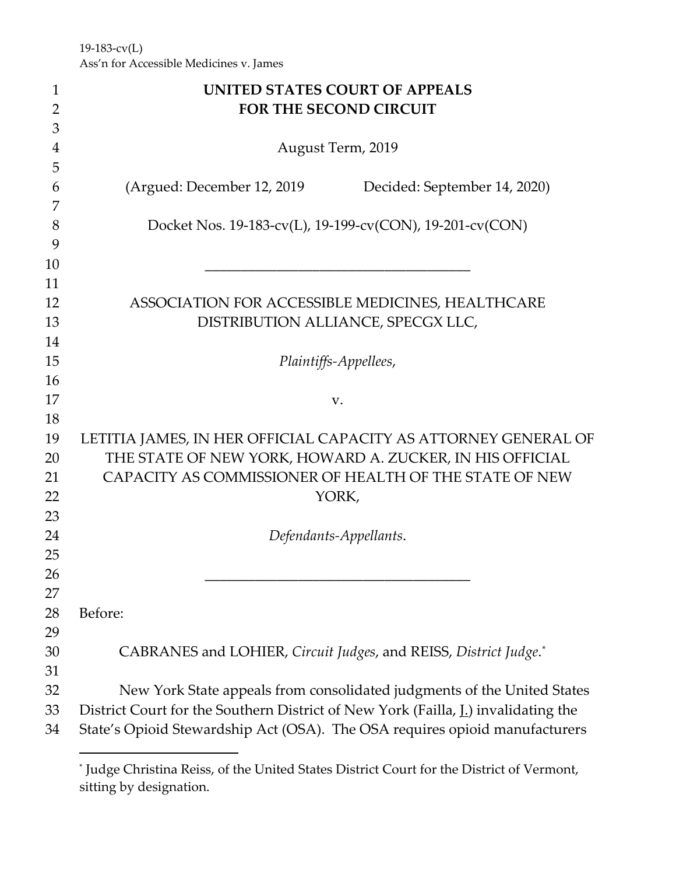19-183-cv(L) Ass'n for Accessible Medicines v. James

| $\mathbf{1}$   | <b>UNITED STATES COURT OF APPEALS</b>                                             |  |
|----------------|-----------------------------------------------------------------------------------|--|
| $\overline{2}$ | <b>FOR THE SECOND CIRCUIT</b>                                                     |  |
| 3              |                                                                                   |  |
| 4              | August Term, 2019                                                                 |  |
| 5              |                                                                                   |  |
| 6              | (Argued: December 12, 2019)<br>Decided: September 14, 2020)                       |  |
| 7              |                                                                                   |  |
| 8              | Docket Nos. 19-183-cv(L), 19-199-cv(CON), 19-201-cv(CON)                          |  |
| 9              |                                                                                   |  |
| 10             |                                                                                   |  |
| 11             |                                                                                   |  |
| 12             | ASSOCIATION FOR ACCESSIBLE MEDICINES, HEALTHCARE                                  |  |
| 13             | DISTRIBUTION ALLIANCE, SPECGX LLC,                                                |  |
| 14             |                                                                                   |  |
| 15             | Plaintiffs-Appellees,                                                             |  |
| 16             |                                                                                   |  |
| 17             | V.                                                                                |  |
| 18             |                                                                                   |  |
| 19             | LETITIA JAMES, IN HER OFFICIAL CAPACITY AS ATTORNEY GENERAL OF                    |  |
| 20             | THE STATE OF NEW YORK, HOWARD A. ZUCKER, IN HIS OFFICIAL                          |  |
| 21             | CAPACITY AS COMMISSIONER OF HEALTH OF THE STATE OF NEW                            |  |
| 22             | YORK,                                                                             |  |
| 23             |                                                                                   |  |
| 24             | Defendants-Appellants.                                                            |  |
| 25             |                                                                                   |  |
| 26             |                                                                                   |  |
| 27             |                                                                                   |  |
| 28             | Before:                                                                           |  |
| 29<br>30       |                                                                                   |  |
| 31             | CABRANES and LOHIER, Circuit Judges, and REISS, District Judge.*                  |  |
| 32             | New York State appeals from consolidated judgments of the United States           |  |
| 33             | District Court for the Southern District of New York (Failla, L) invalidating the |  |
|                |                                                                                   |  |
| 34             | State's Opioid Stewardship Act (OSA). The OSA requires opioid manufacturers       |  |

<span id="page-0-0"></span><sup>\*</sup> Judge Christina Reiss, of the United States District Court for the District of Vermont, sitting by designation.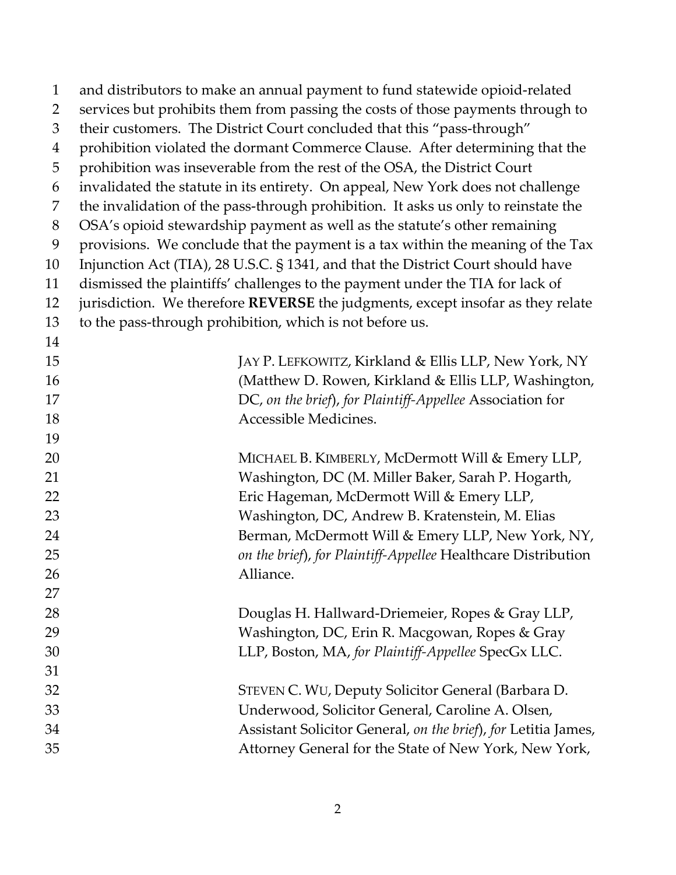| $\mathbf{1}$ | and distributors to make an annual payment to fund statewide opioid-related        |
|--------------|------------------------------------------------------------------------------------|
| 2            | services but prohibits them from passing the costs of those payments through to    |
| 3            | their customers. The District Court concluded that this "pass-through"             |
| 4            | prohibition violated the dormant Commerce Clause. After determining that the       |
| 5            | prohibition was inseverable from the rest of the OSA, the District Court           |
| 6            | invalidated the statute in its entirety. On appeal, New York does not challenge    |
| 7            | the invalidation of the pass-through prohibition. It asks us only to reinstate the |
| $8\,$        | OSA's opioid stewardship payment as well as the statute's other remaining          |
| 9            | provisions. We conclude that the payment is a tax within the meaning of the Tax    |
| 10           | Injunction Act (TIA), 28 U.S.C. § 1341, and that the District Court should have    |
| 11           | dismissed the plaintiffs' challenges to the payment under the TIA for lack of      |
| 12           | jurisdiction. We therefore REVERSE the judgments, except insofar as they relate    |
| 13           | to the pass-through prohibition, which is not before us.                           |
| 14           |                                                                                    |
| 15           | JAY P. LEFKOWITZ, Kirkland & Ellis LLP, New York, NY                               |
| 16           | (Matthew D. Rowen, Kirkland & Ellis LLP, Washington,                               |
| 17           | DC, on the brief), for Plaintiff-Appellee Association for                          |
| 18           | Accessible Medicines.                                                              |
| 19           |                                                                                    |
| 20           | MICHAEL B. KIMBERLY, McDermott Will & Emery LLP,                                   |
| 21           | Washington, DC (M. Miller Baker, Sarah P. Hogarth,                                 |
| 22           | Eric Hageman, McDermott Will & Emery LLP,                                          |
| 23           | Washington, DC, Andrew B. Kratenstein, M. Elias                                    |
| 24           | Berman, McDermott Will & Emery LLP, New York, NY,                                  |
| 25           | on the brief), for Plaintiff-Appellee Healthcare Distribution                      |
| 26           | Alliance                                                                           |
| 27           |                                                                                    |
| 28           | Douglas H. Hallward-Driemeier, Ropes & Gray LLP,                                   |
| 29           | Washington, DC, Erin R. Macgowan, Ropes & Gray                                     |
| 30           | LLP, Boston, MA, for Plaintiff-Appellee SpecGx LLC.                                |
| 31           |                                                                                    |
| 32           | STEVEN C. WU, Deputy Solicitor General (Barbara D.                                 |
| 33           | Underwood, Solicitor General, Caroline A. Olsen,                                   |
| 34           | Assistant Solicitor General, on the brief), for Letitia James,                     |
| 35           | Attorney General for the State of New York, New York,                              |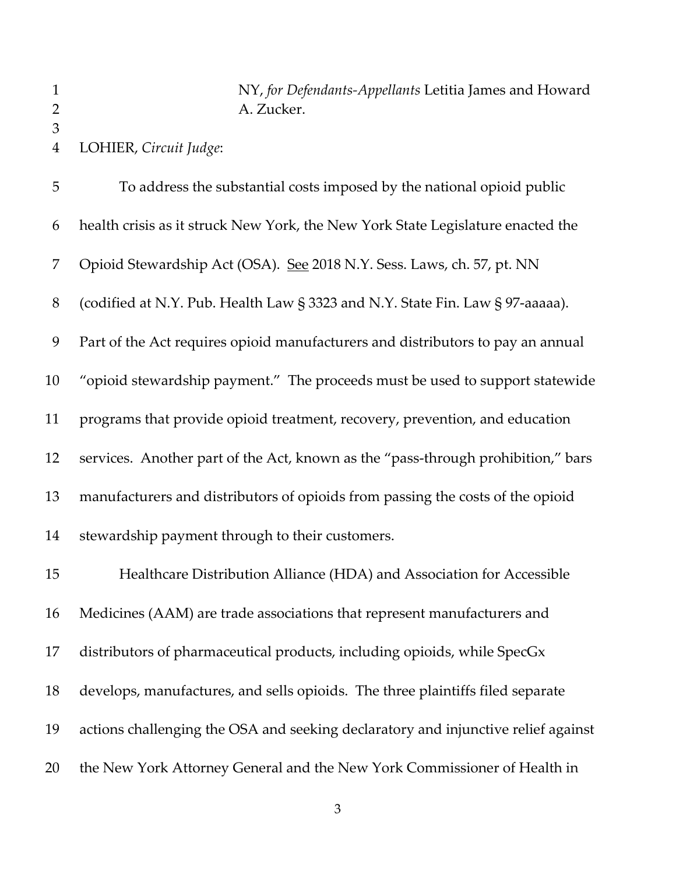NY, *for Defendants-Appellants* Letitia James and Howard 2 A. Zucker.

LOHIER, *Circuit Judge*:

 To address the substantial costs imposed by the national opioid public health crisis as it struck New York, the New York State Legislature enacted the 7 Opioid Stewardship Act (OSA). See 2018 N.Y. Sess. Laws, ch. 57, pt. NN (codified at N.Y. Pub. Health Law § 3323 and N.Y. State Fin. Law § 97-aaaaa). Part of the Act requires opioid manufacturers and distributors to pay an annual "opioid stewardship payment." The proceeds must be used to support statewide programs that provide opioid treatment, recovery, prevention, and education services. Another part of the Act, known as the "pass-through prohibition," bars manufacturers and distributors of opioids from passing the costs of the opioid stewardship payment through to their customers. Healthcare Distribution Alliance (HDA) and Association for Accessible Medicines (AAM) are trade associations that represent manufacturers and distributors of pharmaceutical products, including opioids, while SpecGx develops, manufactures, and sells opioids. The three plaintiffs filed separate actions challenging the OSA and seeking declaratory and injunctive relief against

the New York Attorney General and the New York Commissioner of Health in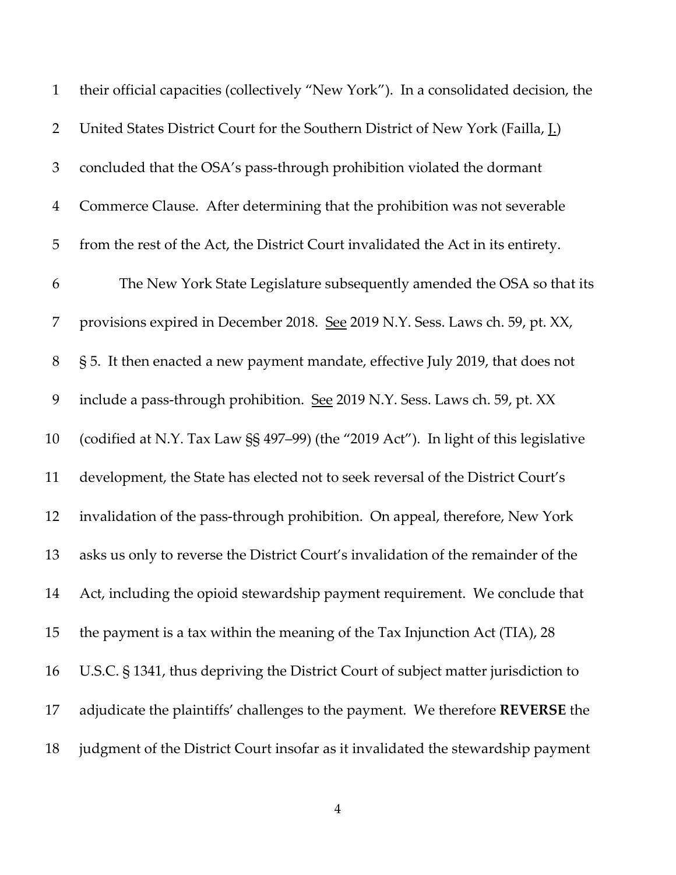| $\mathbf{1}$   | their official capacities (collectively "New York"). In a consolidated decision, the    |
|----------------|-----------------------------------------------------------------------------------------|
| $\overline{2}$ | United States District Court for the Southern District of New York (Failla, <u>I.</u> ) |
| 3              | concluded that the OSA's pass-through prohibition violated the dormant                  |
| $\overline{4}$ | Commerce Clause. After determining that the prohibition was not severable               |
| 5              | from the rest of the Act, the District Court invalidated the Act in its entirety.       |
| 6              | The New York State Legislature subsequently amended the OSA so that its                 |
| 7              | provisions expired in December 2018. See 2019 N.Y. Sess. Laws ch. 59, pt. XX,           |
| 8              | § 5. It then enacted a new payment mandate, effective July 2019, that does not          |
| 9              | include a pass-through prohibition. See 2019 N.Y. Sess. Laws ch. 59, pt. XX             |
| 10             | (codified at N.Y. Tax Law §§ 497-99) (the "2019 Act"). In light of this legislative     |
| 11             | development, the State has elected not to seek reversal of the District Court's         |
| 12             | invalidation of the pass-through prohibition. On appeal, therefore, New York            |
| 13             | asks us only to reverse the District Court's invalidation of the remainder of the       |
| 14             | Act, including the opioid stewardship payment requirement. We conclude that             |
| 15             | the payment is a tax within the meaning of the Tax Injunction Act (TIA), 28             |
| 16             | U.S.C. § 1341, thus depriving the District Court of subject matter jurisdiction to      |
| 17             | adjudicate the plaintiffs' challenges to the payment. We therefore REVERSE the          |
| 18             | judgment of the District Court insofar as it invalidated the stewardship payment        |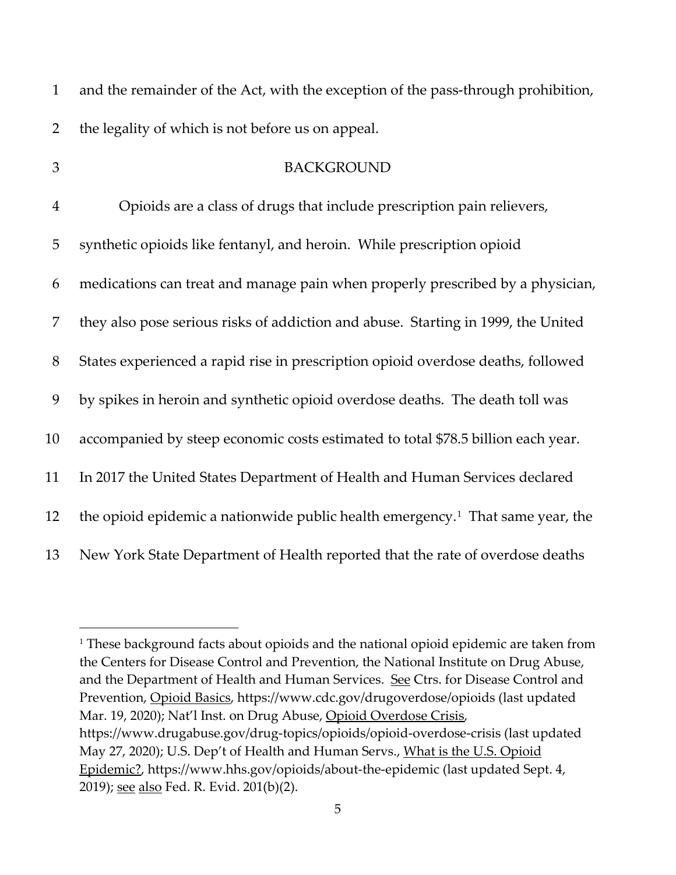| $\mathbf{1}$   | and the remainder of the Act, with the exception of the pass-through prohibition,          |
|----------------|--------------------------------------------------------------------------------------------|
| $\overline{2}$ | the legality of which is not before us on appeal.                                          |
| 3              | <b>BACKGROUND</b>                                                                          |
| $\overline{4}$ | Opioids are a class of drugs that include prescription pain relievers,                     |
| 5              | synthetic opioids like fentanyl, and heroin. While prescription opioid                     |
| 6              | medications can treat and manage pain when properly prescribed by a physician,             |
| 7              | they also pose serious risks of addiction and abuse. Starting in 1999, the United          |
| 8              | States experienced a rapid rise in prescription opioid overdose deaths, followed           |
| 9              | by spikes in heroin and synthetic opioid overdose deaths. The death toll was               |
| 10             | accompanied by steep economic costs estimated to total \$78.5 billion each year.           |
| 11             | In 2017 the United States Department of Health and Human Services declared                 |
| 12             | the opioid epidemic a nationwide public health emergency. <sup>1</sup> That same year, the |
| 13             | New York State Department of Health reported that the rate of overdose deaths              |

<span id="page-4-0"></span><sup>&</sup>lt;sup>1</sup> These background facts about opioids and the national opioid epidemic are taken from the Centers for Disease Control and Prevention, the National Institute on Drug Abuse, and the Department of Health and Human Services. See Ctrs. for Disease Control and Prevention, Opioid Basics, https://www.cdc.gov/drugoverdose/opioids (last updated Mar. 19, 2020); Nat'l Inst. on Drug Abuse, Opioid Overdose Crisis, https://www.drugabuse.gov/drug-topics/opioids/opioid-overdose-crisis (last updated May 27, 2020); U.S. Dep't of Health and Human Servs., What is the U.S. Opioid Epidemic?, https://www.hhs.gov/opioids/about-the-epidemic (last updated Sept. 4, 2019); <u>see also</u> Fed. R. Evid. 201(b)(2).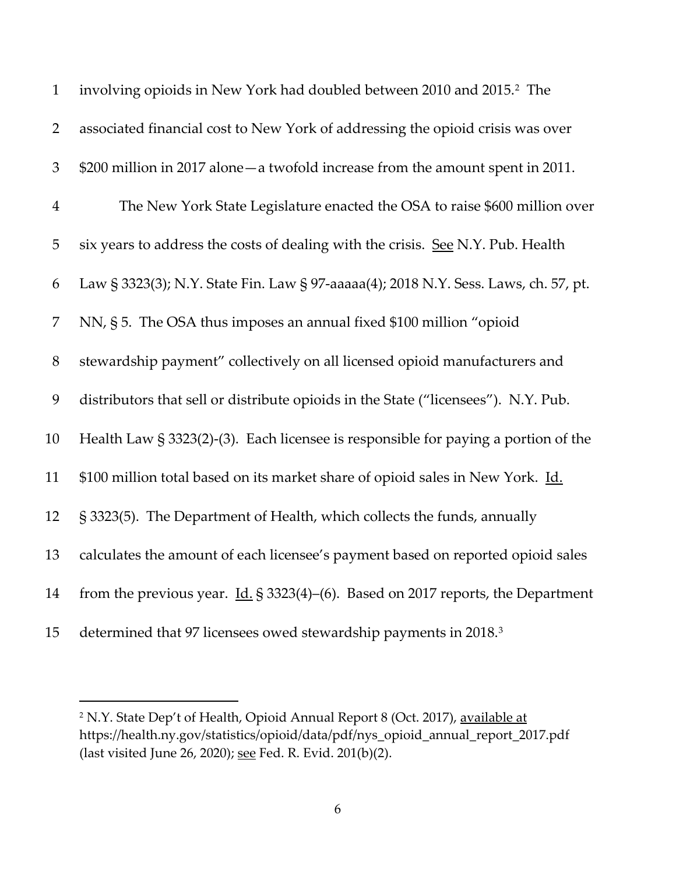| $\mathbf{1}$   | involving opioids in New York had doubled between 2010 and 2015. <sup>2</sup> The               |
|----------------|-------------------------------------------------------------------------------------------------|
| $\overline{2}$ | associated financial cost to New York of addressing the opioid crisis was over                  |
| $\mathfrak 3$  | \$200 million in 2017 alone - a twofold increase from the amount spent in 2011.                 |
| $\overline{4}$ | The New York State Legislature enacted the OSA to raise \$600 million over                      |
| 5              | six years to address the costs of dealing with the crisis. See N.Y. Pub. Health                 |
| 6              | Law § 3323(3); N.Y. State Fin. Law § 97-aaaaa(4); 2018 N.Y. Sess. Laws, ch. 57, pt.             |
| 7              | NN, § 5. The OSA thus imposes an annual fixed \$100 million "opioid                             |
| $8\,$          | stewardship payment" collectively on all licensed opioid manufacturers and                      |
| 9              | distributors that sell or distribute opioids in the State ("licensees"). N.Y. Pub.              |
| 10             | Health Law $\S 3323(2)$ -(3). Each licensee is responsible for paying a portion of the          |
| 11             | \$100 million total based on its market share of opioid sales in New York. Id.                  |
| 12             | § 3323(5). The Department of Health, which collects the funds, annually                         |
| 13             | calculates the amount of each licensee's payment based on reported opioid sales                 |
| 14             | from the previous year. $\underline{Id}$ . § 3323(4)-(6). Based on 2017 reports, the Department |
| 15             | determined that 97 licensees owed stewardship payments in 2018. <sup>3</sup>                    |

<span id="page-5-1"></span><span id="page-5-0"></span><sup>&</sup>lt;sup>2</sup> N.Y. State Dep't of Health, Opioid Annual Report 8 (Oct. 2017), available at https://health.ny.gov/statistics/opioid/data/pdf/nys\_opioid\_annual\_report\_2017.pdf (last visited June 26, 2020); see Fed. R. Evid. 201(b)(2).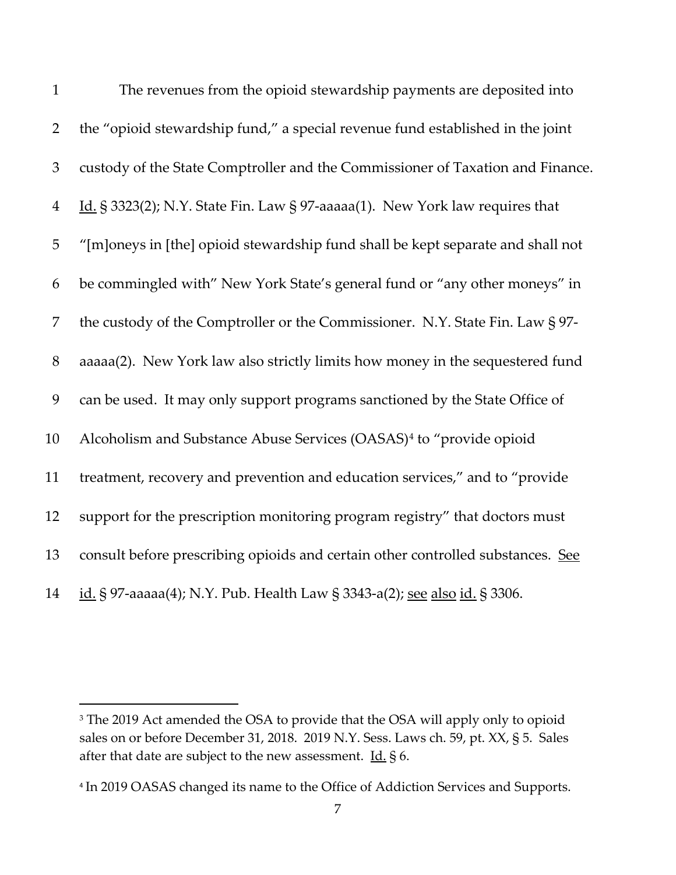| $\mathbf{1}$   | The revenues from the opioid stewardship payments are deposited into            |
|----------------|---------------------------------------------------------------------------------|
| $\overline{2}$ | the "opioid stewardship fund," a special revenue fund established in the joint  |
| 3              | custody of the State Comptroller and the Commissioner of Taxation and Finance.  |
| $\overline{4}$ | Id. § 3323(2); N.Y. State Fin. Law § 97-aaaaa(1). New York law requires that    |
| 5              | "[m]oneys in [the] opioid stewardship fund shall be kept separate and shall not |
| 6              | be commingled with" New York State's general fund or "any other moneys" in      |
| 7              | the custody of the Comptroller or the Commissioner. N.Y. State Fin. Law § 97-   |
| $8\,$          | aaaaa(2). New York law also strictly limits how money in the sequestered fund   |
| 9              | can be used. It may only support programs sanctioned by the State Office of     |
| 10             | Alcoholism and Substance Abuse Services (OASAS) <sup>4</sup> to "provide opioid |
| 11             | treatment, recovery and prevention and education services," and to "provide     |
| 12             | support for the prescription monitoring program registry" that doctors must     |
| 13             | consult before prescribing opioids and certain other controlled substances. See |
| 14             | id. § 97-aaaaa(4); N.Y. Pub. Health Law § 3343-a(2); see also id. § 3306.       |

<sup>&</sup>lt;sup>3</sup> The 2019 Act amended the OSA to provide that the OSA will apply only to opioid sales on or before December 31, 2018. 2019 N.Y. Sess. Laws ch. 59, pt. XX, § 5. Sales after that date are subject to the new assessment.  $\underline{\text{Id}}$ , § 6.

<span id="page-6-0"></span>In 2019 OASAS changed its name to the Office of Addiction Services and Supports.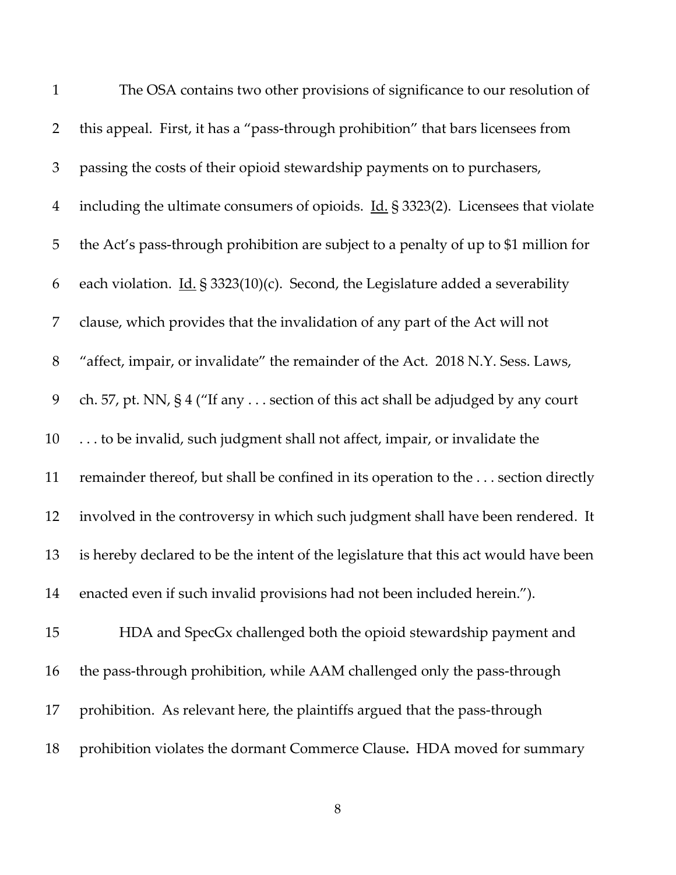| $\mathbf{1}$   | The OSA contains two other provisions of significance to our resolution of                        |
|----------------|---------------------------------------------------------------------------------------------------|
| $\overline{2}$ | this appeal. First, it has a "pass-through prohibition" that bars licensees from                  |
| 3              | passing the costs of their opioid stewardship payments on to purchasers,                          |
| $\overline{4}$ | including the ultimate consumers of opioids. $\underline{Id}$ . § 3323(2). Licensees that violate |
| 5              | the Act's pass-through prohibition are subject to a penalty of up to \$1 million for              |
| 6              | each violation. $\underline{Id}$ . § 3323(10)(c). Second, the Legislature added a severability    |
| 7              | clause, which provides that the invalidation of any part of the Act will not                      |
| $8\,$          | "affect, impair, or invalidate" the remainder of the Act. 2018 N.Y. Sess. Laws,                   |
| 9              | ch. 57, pt. NN, § 4 ("If any section of this act shall be adjudged by any court                   |
| 10             | to be invalid, such judgment shall not affect, impair, or invalidate the                          |
| 11             | remainder thereof, but shall be confined in its operation to the section directly                 |
| 12             | involved in the controversy in which such judgment shall have been rendered. It                   |
| 13             | is hereby declared to be the intent of the legislature that this act would have been              |
| 14             | enacted even if such invalid provisions had not been included herein.").                          |
| 15             | HDA and SpecGx challenged both the opioid stewardship payment and                                 |
| 16             | the pass-through prohibition, while AAM challenged only the pass-through                          |
| 17             | prohibition. As relevant here, the plaintiffs argued that the pass-through                        |
| 18             | prohibition violates the dormant Commerce Clause. HDA moved for summary                           |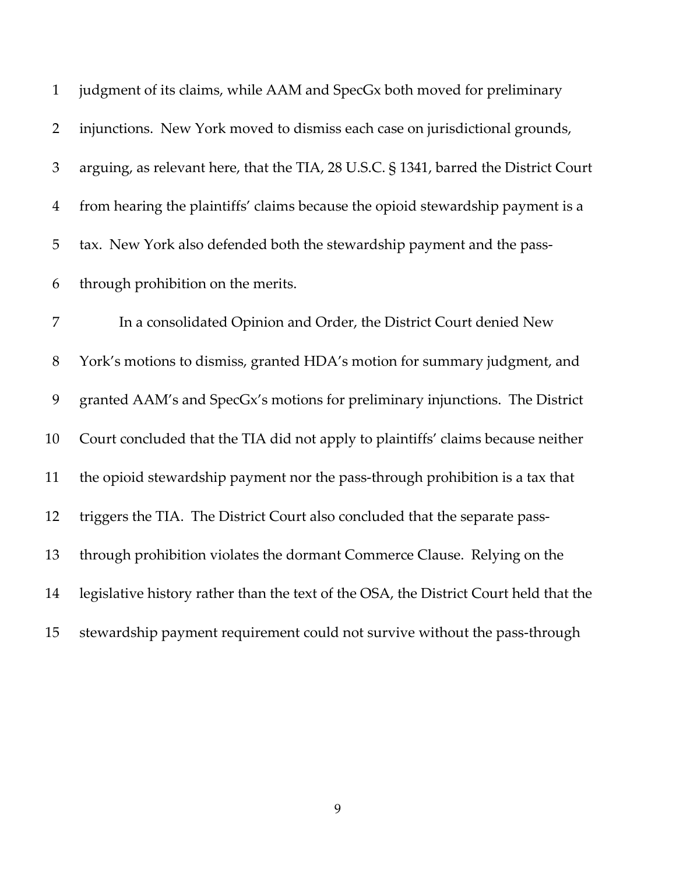| $\mathbf{1}$   | judgment of its claims, while AAM and SpecGx both moved for preliminary               |
|----------------|---------------------------------------------------------------------------------------|
| $\overline{2}$ | injunctions. New York moved to dismiss each case on jurisdictional grounds,           |
| $\mathfrak{Z}$ | arguing, as relevant here, that the TIA, 28 U.S.C. § 1341, barred the District Court  |
| $\overline{4}$ | from hearing the plaintiffs' claims because the opioid stewardship payment is a       |
| 5              | tax. New York also defended both the stewardship payment and the pass-                |
| 6              | through prohibition on the merits.                                                    |
| 7              | In a consolidated Opinion and Order, the District Court denied New                    |
| $8\,$          | York's motions to dismiss, granted HDA's motion for summary judgment, and             |
| 9              | granted AAM's and SpecGx's motions for preliminary injunctions. The District          |
| 10             | Court concluded that the TIA did not apply to plaintiffs' claims because neither      |
| 11             | the opioid stewardship payment nor the pass-through prohibition is a tax that         |
| 12             | triggers the TIA. The District Court also concluded that the separate pass-           |
| 13             | through prohibition violates the dormant Commerce Clause. Relying on the              |
| 14             | legislative history rather than the text of the OSA, the District Court held that the |
| 15             | stewardship payment requirement could not survive without the pass-through            |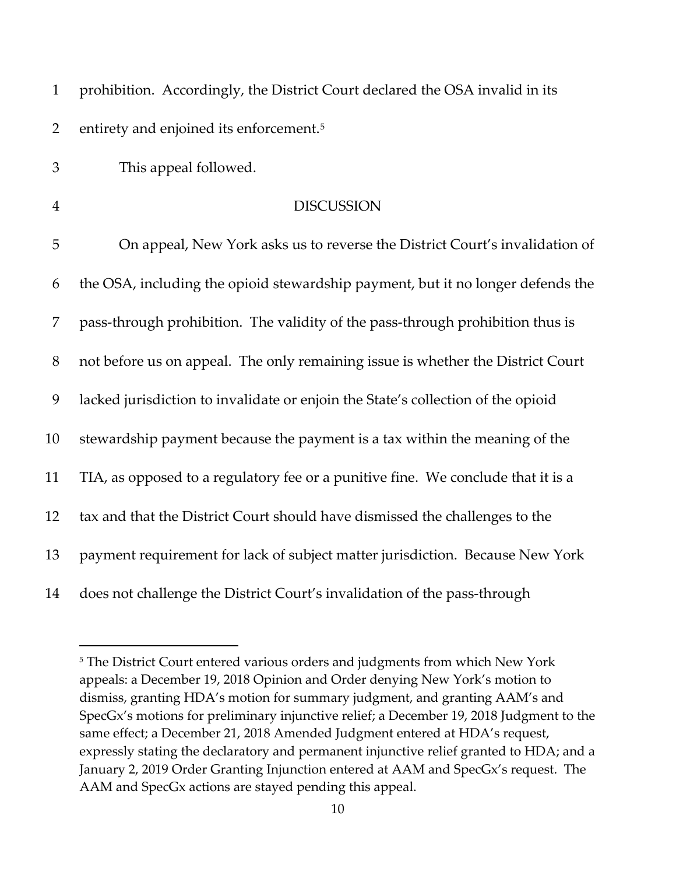| $\mathbf{1}$   | prohibition. Accordingly, the District Court declared the OSA invalid in its     |
|----------------|----------------------------------------------------------------------------------|
| $\overline{2}$ | entirety and enjoined its enforcement. <sup>5</sup>                              |
| 3              | This appeal followed.                                                            |
| $\overline{4}$ | <b>DISCUSSION</b>                                                                |
| 5              | On appeal, New York asks us to reverse the District Court's invalidation of      |
| 6              | the OSA, including the opioid stewardship payment, but it no longer defends the  |
| 7              | pass-through prohibition. The validity of the pass-through prohibition thus is   |
| $8\,$          | not before us on appeal. The only remaining issue is whether the District Court  |
| 9              | lacked jurisdiction to invalidate or enjoin the State's collection of the opioid |
| 10             | stewardship payment because the payment is a tax within the meaning of the       |
| 11             | TIA, as opposed to a regulatory fee or a punitive fine. We conclude that it is a |
| 12             | tax and that the District Court should have dismissed the challenges to the      |
| 13             | payment requirement for lack of subject matter jurisdiction. Because New York    |
| 14             | does not challenge the District Court's invalidation of the pass-through         |

<span id="page-9-0"></span><sup>&</sup>lt;sup>5</sup> The District Court entered various orders and judgments from which New York appeals: a December 19, 2018 Opinion and Order denying New York's motion to dismiss, granting HDA's motion for summary judgment, and granting AAM's and SpecGx's motions for preliminary injunctive relief; a December 19, 2018 Judgment to the same effect; a December 21, 2018 Amended Judgment entered at HDA's request, expressly stating the declaratory and permanent injunctive relief granted to HDA; and a January 2, 2019 Order Granting Injunction entered at AAM and SpecGx's request. The AAM and SpecGx actions are stayed pending this appeal.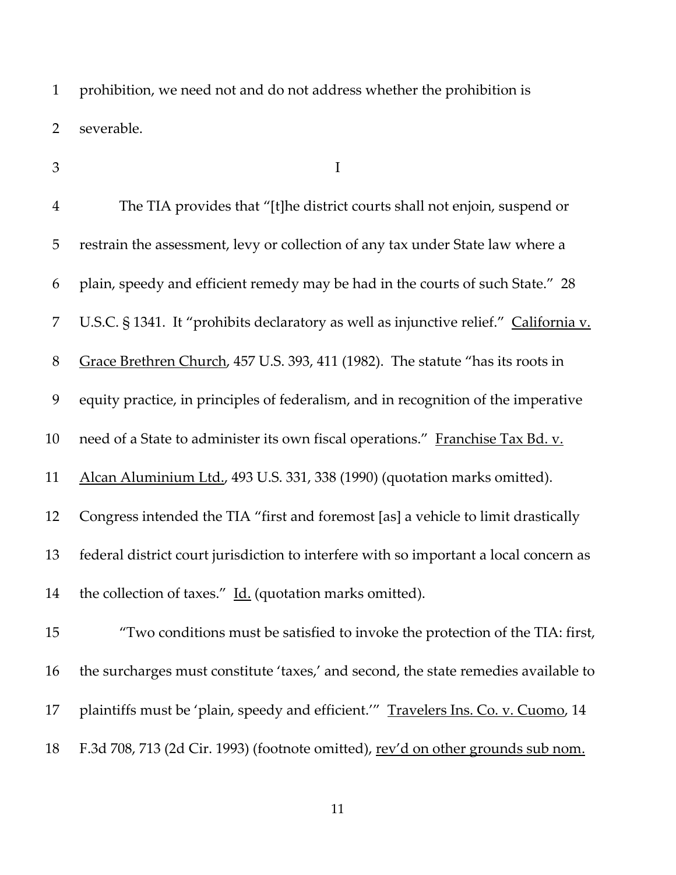prohibition, we need not and do not address whether the prohibition is severable.

 $3 \qquad \qquad \blacksquare$ 

| $\overline{4}$ | The TIA provides that "[t]he district courts shall not enjoin, suspend or             |
|----------------|---------------------------------------------------------------------------------------|
| 5              | restrain the assessment, levy or collection of any tax under State law where a        |
| 6              | plain, speedy and efficient remedy may be had in the courts of such State." 28        |
| 7              | U.S.C. § 1341. It "prohibits declaratory as well as injunctive relief." California v. |
| $8\,$          | Grace Brethren Church, 457 U.S. 393, 411 (1982). The statute "has its roots in        |
| 9              | equity practice, in principles of federalism, and in recognition of the imperative    |
| 10             | need of a State to administer its own fiscal operations." Franchise Tax Bd. v.        |
| 11             | Alcan Aluminium Ltd., 493 U.S. 331, 338 (1990) (quotation marks omitted).             |
| 12             | Congress intended the TIA "first and foremost [as] a vehicle to limit drastically     |
| 13             | federal district court jurisdiction to interfere with so important a local concern as |
| 14             | the collection of taxes." Id. (quotation marks omitted).                              |
| 15             | "Two conditions must be satisfied to invoke the protection of the TIA: first,         |
| 16             | the surcharges must constitute 'taxes,' and second, the state remedies available to   |
| 17             | plaintiffs must be 'plain, speedy and efficient.'" Travelers Ins. Co. v. Cuomo, 14    |
| 18             | F.3d 708, 713 (2d Cir. 1993) (footnote omitted), rev'd on other grounds sub nom.      |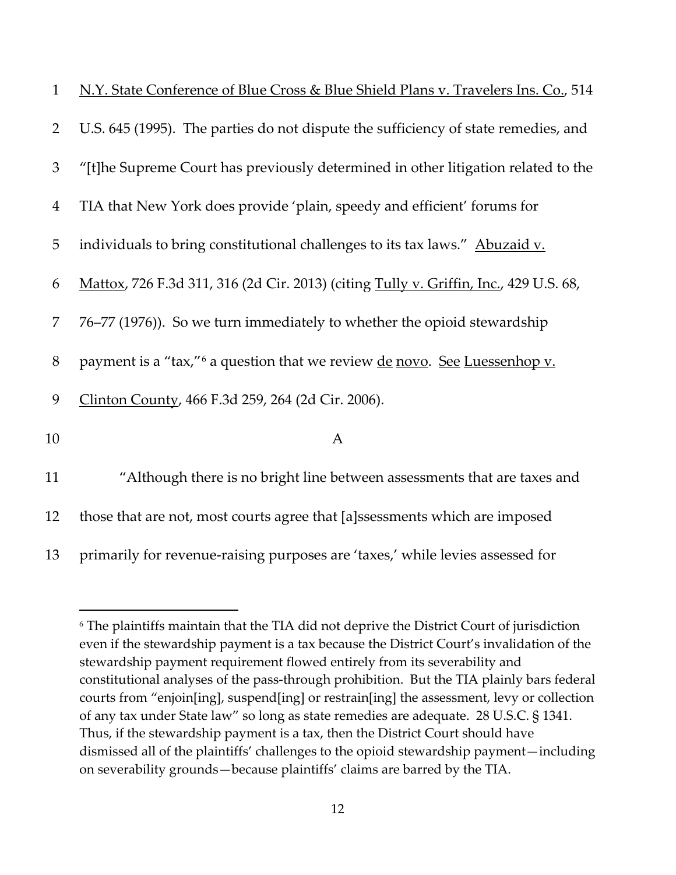| $\mathbf{1}$   | N.Y. State Conference of Blue Cross & Blue Shield Plans v. Travelers Ins. Co., 514            |
|----------------|-----------------------------------------------------------------------------------------------|
| $\overline{2}$ | U.S. 645 (1995). The parties do not dispute the sufficiency of state remedies, and            |
| 3              | "[t]he Supreme Court has previously determined in other litigation related to the             |
| $\overline{4}$ | TIA that New York does provide 'plain, speedy and efficient' forums for                       |
| 5              | individuals to bring constitutional challenges to its tax laws." Abuzaid v.                   |
| 6              | Mattox, 726 F.3d 311, 316 (2d Cir. 2013) (citing Tully v. Griffin, Inc., 429 U.S. 68,         |
| 7              | 76–77 (1976)). So we turn immediately to whether the opioid stewardship                       |
| $8\,$          | payment is a "tax," <sup>6</sup> a question that we review <u>de novo</u> . See Luessenhop v. |
| 9              | Clinton County, 466 F.3d 259, 264 (2d Cir. 2006).                                             |
| 10             | $\mathbf{A}$                                                                                  |
| 11             | "Although there is no bright line between assessments that are taxes and                      |
| 12             | those that are not, most courts agree that [a]ssessments which are imposed                    |

13 primarily for revenue-raising purposes are 'taxes,' while levies assessed for

<span id="page-11-0"></span><sup>6</sup> The plaintiffs maintain that the TIA did not deprive the District Court of jurisdiction even if the stewardship payment is a tax because the District Court's invalidation of the stewardship payment requirement flowed entirely from its severability and constitutional analyses of the pass-through prohibition. But the TIA plainly bars federal courts from "enjoin[ing], suspend[ing] or restrain[ing] the assessment, levy or collection of any tax under State law" so long as state remedies are adequate. 28 U.S.C. § 1341. Thus, if the stewardship payment is a tax, then the District Court should have dismissed all of the plaintiffs' challenges to the opioid stewardship payment—including on severability grounds—because plaintiffs' claims are barred by the TIA.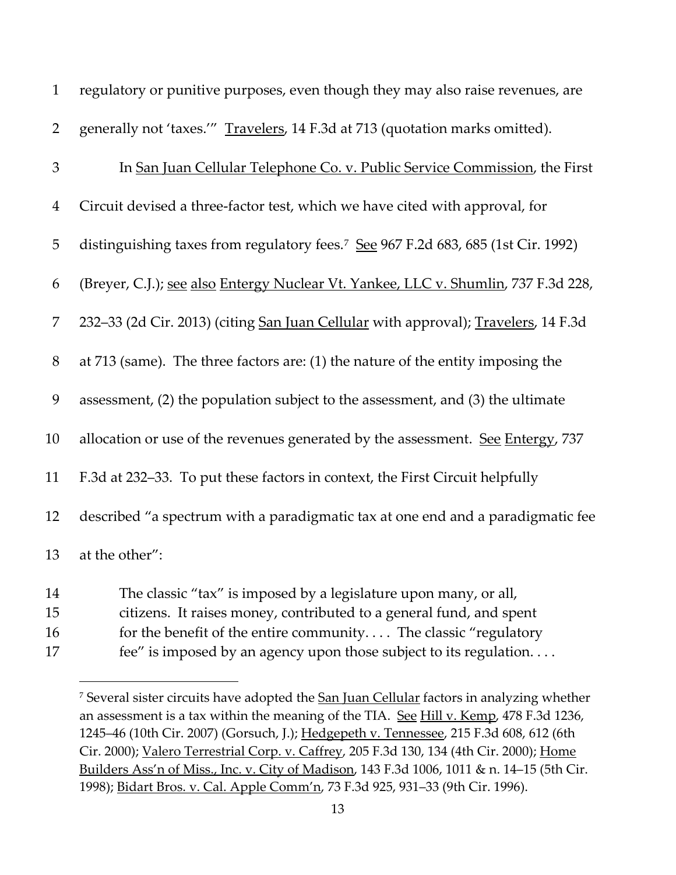| $\mathbf{1}$   | regulatory or punitive purposes, even though they may also raise revenues, are                                                          |
|----------------|-----------------------------------------------------------------------------------------------------------------------------------------|
| $\overline{2}$ | generally not 'taxes.'" Travelers, 14 F.3d at 713 (quotation marks omitted).                                                            |
| 3              | In San Juan Cellular Telephone Co. v. Public Service Commission, the First                                                              |
| $\overline{4}$ | Circuit devised a three-factor test, which we have cited with approval, for                                                             |
| 5              | distinguishing taxes from regulatory fees. <sup>7</sup> See 967 F.2d 683, 685 (1st Cir. 1992)                                           |
| 6              | (Breyer, C.J.); see also Entergy Nuclear Vt. Yankee, LLC v. Shumlin, 737 F.3d 228,                                                      |
| $\overline{7}$ | 232–33 (2d Cir. 2013) (citing San Juan Cellular with approval); Travelers, 14 F.3d                                                      |
| $8\,$          | at 713 (same). The three factors are: (1) the nature of the entity imposing the                                                         |
| 9              | assessment, (2) the population subject to the assessment, and (3) the ultimate                                                          |
| 10             | allocation or use of the revenues generated by the assessment. See Entergy, 737                                                         |
| 11             | F.3d at 232-33. To put these factors in context, the First Circuit helpfully                                                            |
| 12             | described "a spectrum with a paradigmatic tax at one end and a paradigmatic fee                                                         |
| 13             | at the other":                                                                                                                          |
| 14<br>15       | The classic "tax" is imposed by a legislature upon many, or all,<br>citizens. It raises money, contributed to a general fund, and spent |

- 16 for the benefit of the entire community.... The classic "regulatory
- <span id="page-12-0"></span>fee" is imposed by an agency upon those subject to its regulation. . . .

<sup>&</sup>lt;sup>7</sup> Several sister circuits have adopted the San Juan Cellular factors in analyzing whether an assessment is a tax within the meaning of the TIA. See Hill v. Kemp, 478 F.3d 1236, 1245–46 (10th Cir. 2007) (Gorsuch, J.); Hedgepeth v. Tennessee, 215 F.3d 608, 612 (6th Cir. 2000); Valero Terrestrial Corp. v. Caffrey, 205 F.3d 130, 134 (4th Cir. 2000); Home Builders Ass'n of Miss., Inc. v. City of Madison, 143 F.3d 1006, 1011 & n. 14–15 (5th Cir. 1998); Bidart Bros. v. Cal. Apple Comm'n, 73 F.3d 925, 931–33 (9th Cir. 1996).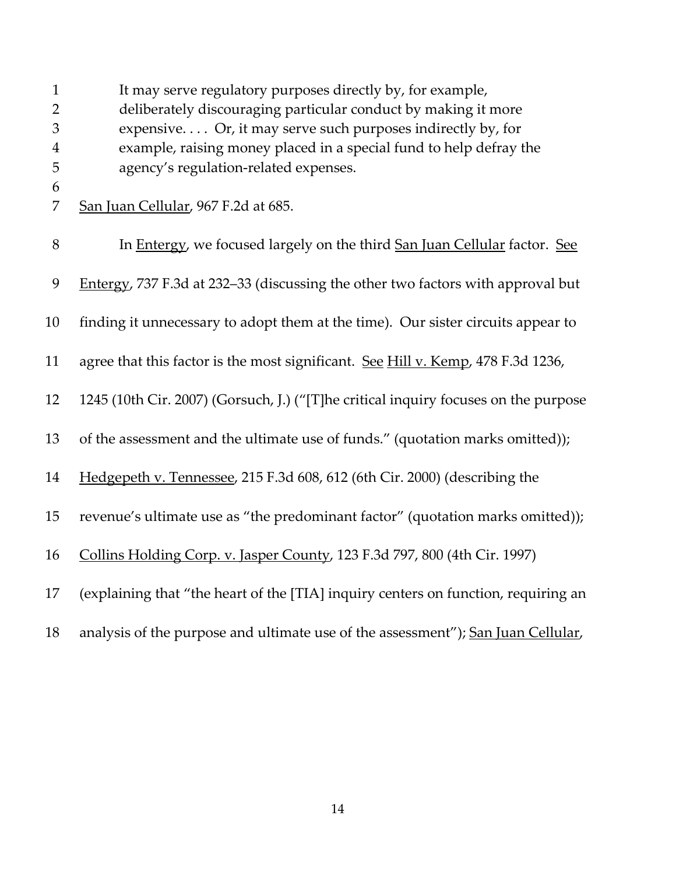| $\mathbf{1}$        | It may serve regulatory purposes directly by, for example,                          |
|---------------------|-------------------------------------------------------------------------------------|
| $\overline{2}$<br>3 | deliberately discouraging particular conduct by making it more                      |
|                     | expensive Or, it may serve such purposes indirectly by, for                         |
| $\boldsymbol{4}$    | example, raising money placed in a special fund to help defray the                  |
| 5                   | agency's regulation-related expenses.                                               |
| 6<br>7              | San Juan Cellular, 967 F.2d at 685.                                                 |
| $8\,$               | In Entergy, we focused largely on the third San Juan Cellular factor. See           |
| 9                   | Entergy, 737 F.3d at 232-33 (discussing the other two factors with approval but     |
| 10                  | finding it unnecessary to adopt them at the time). Our sister circuits appear to    |
| 11                  | agree that this factor is the most significant. See Hill v. Kemp, 478 F.3d 1236,    |
| 12                  | 1245 (10th Cir. 2007) (Gorsuch, J.) ("[T]he critical inquiry focuses on the purpose |
| 13                  | of the assessment and the ultimate use of funds." (quotation marks omitted));       |
| 14                  | Hedgepeth v. Tennessee, 215 F.3d 608, 612 (6th Cir. 2000) (describing the           |
| 15                  | revenue's ultimate use as "the predominant factor" (quotation marks omitted));      |
| 16                  | Collins Holding Corp. v. Jasper County, 123 F.3d 797, 800 (4th Cir. 1997)           |
| 17                  | (explaining that "the heart of the [TIA] inquiry centers on function, requiring an  |
| 18                  | analysis of the purpose and ultimate use of the assessment"); San Juan Cellular,    |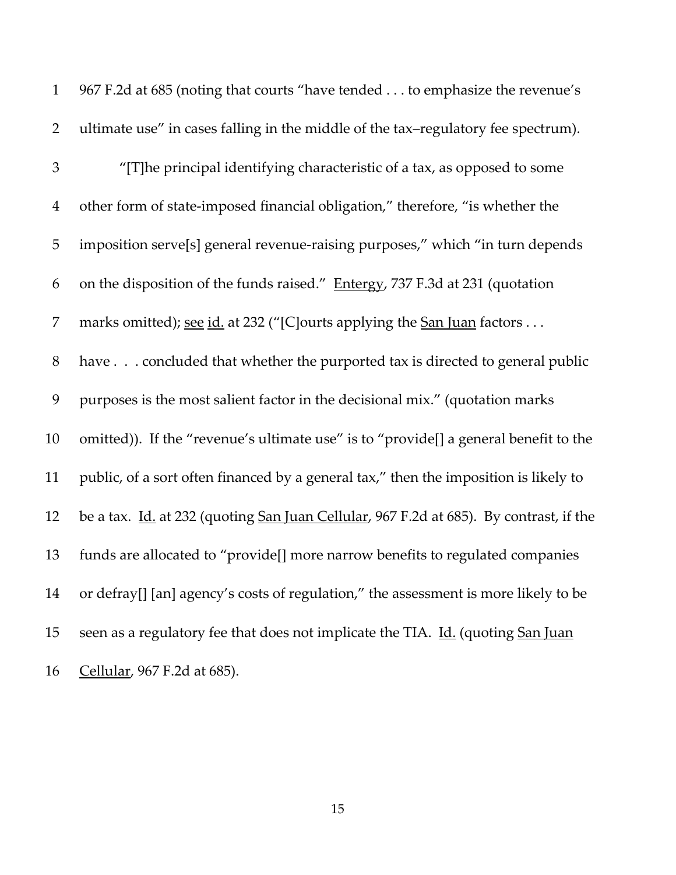| $\mathbf{1}$   | 967 F.2d at 685 (noting that courts "have tended to emphasize the revenue's            |
|----------------|----------------------------------------------------------------------------------------|
| $\overline{2}$ | ultimate use" in cases falling in the middle of the tax-regulatory fee spectrum).      |
| 3              | "[T]he principal identifying characteristic of a tax, as opposed to some               |
| $\overline{4}$ | other form of state-imposed financial obligation," therefore, "is whether the          |
| 5              | imposition serve[s] general revenue-raising purposes," which "in turn depends          |
| 6              | on the disposition of the funds raised." Entergy, 737 F.3d at 231 (quotation           |
| 7              | marks omitted); <u>see id.</u> at 232 ("[C]ourts applying the <u>San Juan</u> factors  |
| $8\,$          | have concluded that whether the purported tax is directed to general public            |
| 9              | purposes is the most salient factor in the decisional mix." (quotation marks           |
| $10\,$         | omitted)). If the "revenue's ultimate use" is to "provide[] a general benefit to the   |
| 11             | public, of a sort often financed by a general tax," then the imposition is likely to   |
| 12             | be a tax. Id. at 232 (quoting San Juan Cellular, 967 F.2d at 685). By contrast, if the |
| 13             | funds are allocated to "provide[] more narrow benefits to regulated companies          |
| 14             | or defray[] [an] agency's costs of regulation," the assessment is more likely to be    |
| 15             | seen as a regulatory fee that does not implicate the TIA. Id. (quoting San Juan        |
| 16             | Cellular, 967 F.2d at 685).                                                            |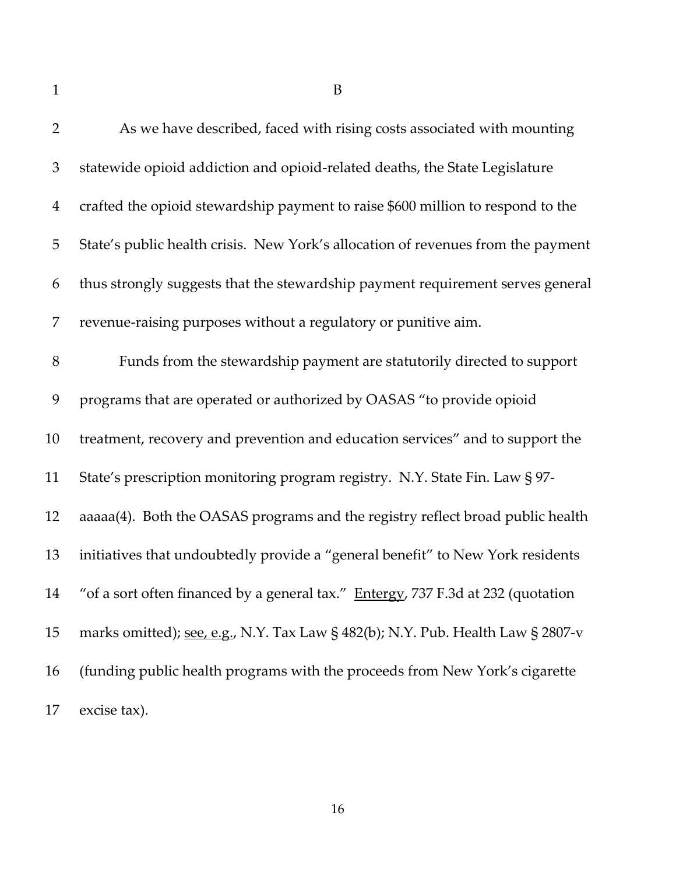As we have described, faced with rising costs associated with mounting statewide opioid addiction and opioid-related deaths, the State Legislature crafted the opioid stewardship payment to raise \$600 million to respond to the State's public health crisis. New York's allocation of revenues from the payment thus strongly suggests that the stewardship payment requirement serves general revenue-raising purposes without a regulatory or punitive aim. Funds from the stewardship payment are statutorily directed to support programs that are operated or authorized by OASAS "to provide opioid treatment, recovery and prevention and education services" and to support the State's prescription monitoring program registry. N.Y. State Fin. Law § 97- aaaaa(4). Both the OASAS programs and the registry reflect broad public health initiatives that undoubtedly provide a "general benefit" to New York residents 14 "of a sort often financed by a general tax." Entergy, 737 F.3d at 232 (quotation 15 marks omitted); see, e.g., N.Y. Tax Law § 482(b); N.Y. Pub. Health Law § 2807-v (funding public health programs with the proceeds from New York's cigarette excise tax).

B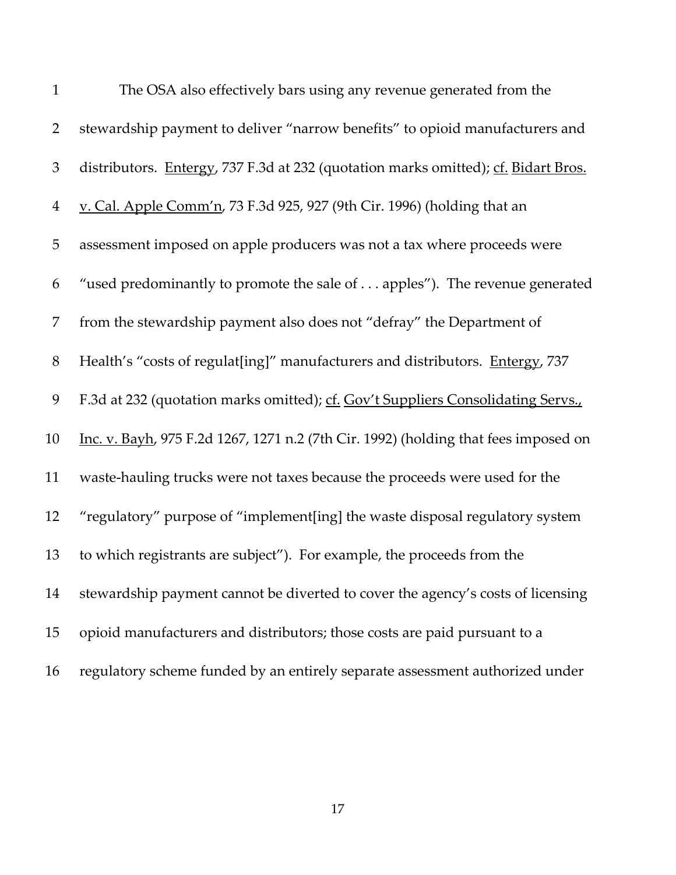| $\mathbf{1}$   | The OSA also effectively bars using any revenue generated from the                  |
|----------------|-------------------------------------------------------------------------------------|
| $\overline{2}$ | stewardship payment to deliver "narrow benefits" to opioid manufacturers and        |
| $\mathfrak{Z}$ | distributors. Entergy, 737 F.3d at 232 (quotation marks omitted); cf. Bidart Bros.  |
| $\overline{4}$ | v. Cal. Apple Comm'n, 73 F.3d 925, 927 (9th Cir. 1996) (holding that an             |
| 5              | assessment imposed on apple producers was not a tax where proceeds were             |
| 6              | "used predominantly to promote the sale of apples"). The revenue generated          |
| 7              | from the stewardship payment also does not "defray" the Department of               |
| 8              | Health's "costs of regulat[ing]" manufacturers and distributors. Entergy, 737       |
| 9              | F.3d at 232 (quotation marks omitted); cf. Gov't Suppliers Consolidating Servs.,    |
| 10             | Inc. v. Bayh, 975 F.2d 1267, 1271 n.2 (7th Cir. 1992) (holding that fees imposed on |
| 11             | waste-hauling trucks were not taxes because the proceeds were used for the          |
| 12             | "regulatory" purpose of "implement[ing] the waste disposal regulatory system        |
| 13             | to which registrants are subject"). For example, the proceeds from the              |
| 14             | stewardship payment cannot be diverted to cover the agency's costs of licensing     |
| 15             | opioid manufacturers and distributors; those costs are paid pursuant to a           |
| 16             | regulatory scheme funded by an entirely separate assessment authorized under        |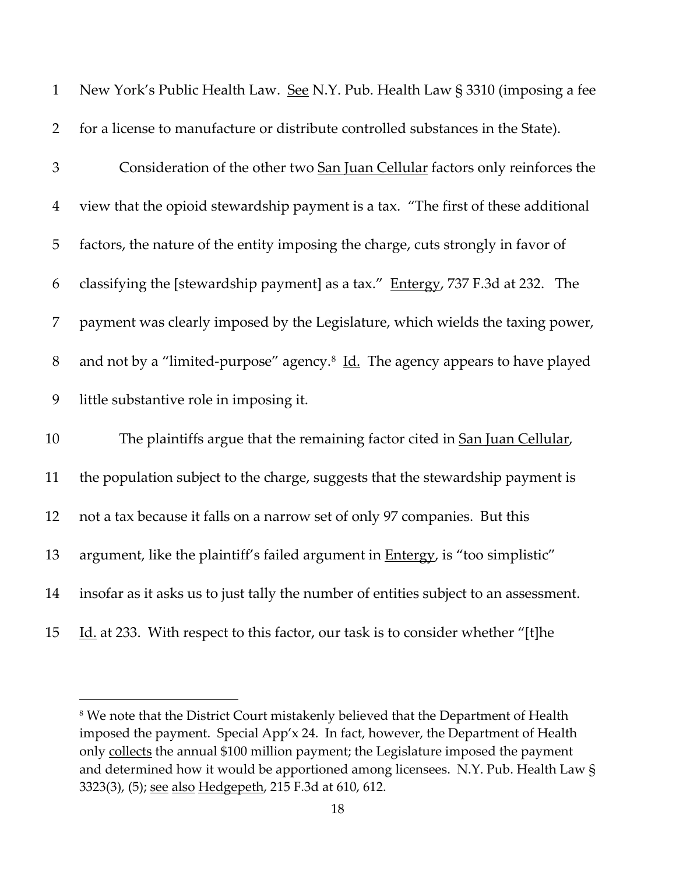| $\mathbf{1}$   | New York's Public Health Law. See N.Y. Pub. Health Law § 3310 (imposing a fee             |
|----------------|-------------------------------------------------------------------------------------------|
| $\overline{2}$ | for a license to manufacture or distribute controlled substances in the State).           |
| 3              | Consideration of the other two San Juan Cellular factors only reinforces the              |
| $\overline{4}$ | view that the opioid stewardship payment is a tax. "The first of these additional         |
| 5              | factors, the nature of the entity imposing the charge, cuts strongly in favor of          |
| 6              | classifying the [stewardship payment] as a tax." Entergy, 737 F.3d at 232. The            |
| 7              | payment was clearly imposed by the Legislature, which wields the taxing power,            |
| $8\,$          | and not by a "limited-purpose" agency. <sup>8</sup> Id. The agency appears to have played |
| 9              | little substantive role in imposing it.                                                   |
| 10             | The plaintiffs argue that the remaining factor cited in San Juan Cellular,                |
| 11             | the population subject to the charge, suggests that the stewardship payment is            |
| 12             | not a tax because it falls on a narrow set of only 97 companies. But this                 |
| 13             | argument, like the plaintiff's failed argument in <b>Entergy</b> , is "too simplistic"    |
| 14             | insofar as it asks us to just tally the number of entities subject to an assessment.      |
| 15             | Id. at 233. With respect to this factor, our task is to consider whether "[t]he           |

<span id="page-17-0"></span><sup>&</sup>lt;sup>8</sup> We note that the District Court mistakenly believed that the Department of Health imposed the payment. Special App'x 24. In fact, however, the Department of Health only collects the annual \$100 million payment; the Legislature imposed the payment and determined how it would be apportioned among licensees. N.Y. Pub. Health Law § 3323(3), (5); see also Hedgepeth, 215 F.3d at 610, 612.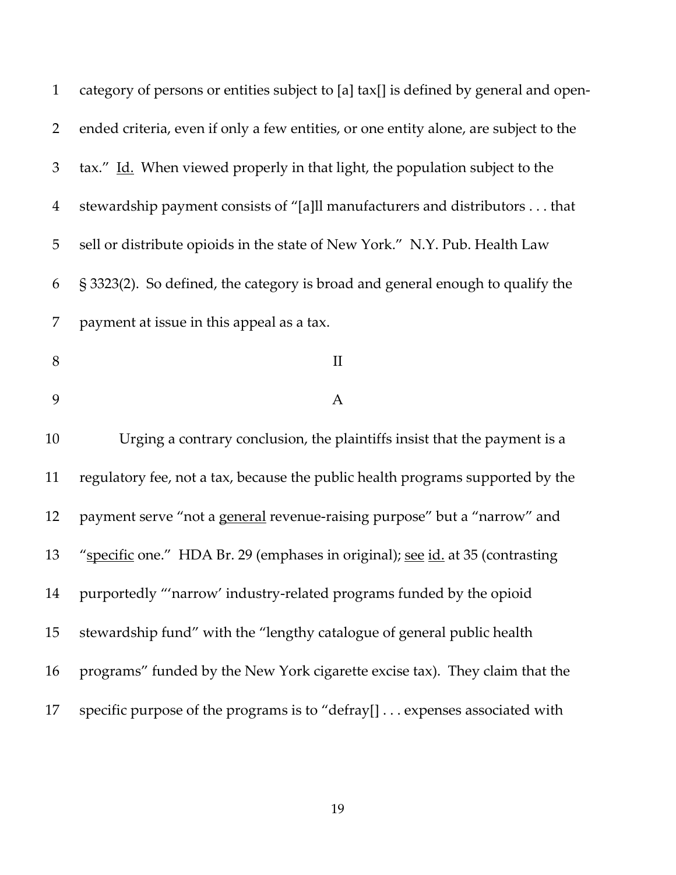| $\mathbf{1}$   | category of persons or entities subject to [a] tax[] is defined by general and open- |
|----------------|--------------------------------------------------------------------------------------|
| $\overline{2}$ | ended criteria, even if only a few entities, or one entity alone, are subject to the |
| 3              | tax." Id. When viewed properly in that light, the population subject to the          |
| $\overline{4}$ | stewardship payment consists of "[a]ll manufacturers and distributors that           |
| 5              | sell or distribute opioids in the state of New York." N.Y. Pub. Health Law           |
| 6              | § 3323(2). So defined, the category is broad and general enough to qualify the       |
| 7              | payment at issue in this appeal as a tax.                                            |
| $8\,$          | $\mathbf{I}$                                                                         |
| 9              | A                                                                                    |
| 10             | Urging a contrary conclusion, the plaintiffs insist that the payment is a            |
| 11             | regulatory fee, not a tax, because the public health programs supported by the       |
| 12             | payment serve "not a general revenue-raising purpose" but a "narrow" and             |
| 13             | "specific one." HDA Br. 29 (emphases in original); see id. at 35 (contrasting        |
| 14             | purportedly "'narrow' industry-related programs funded by the opioid                 |
| 15             | stewardship fund" with the "lengthy catalogue of general public health               |
| 16             | programs" funded by the New York cigarette excise tax). They claim that the          |
| 17             | specific purpose of the programs is to "defray[] expenses associated with            |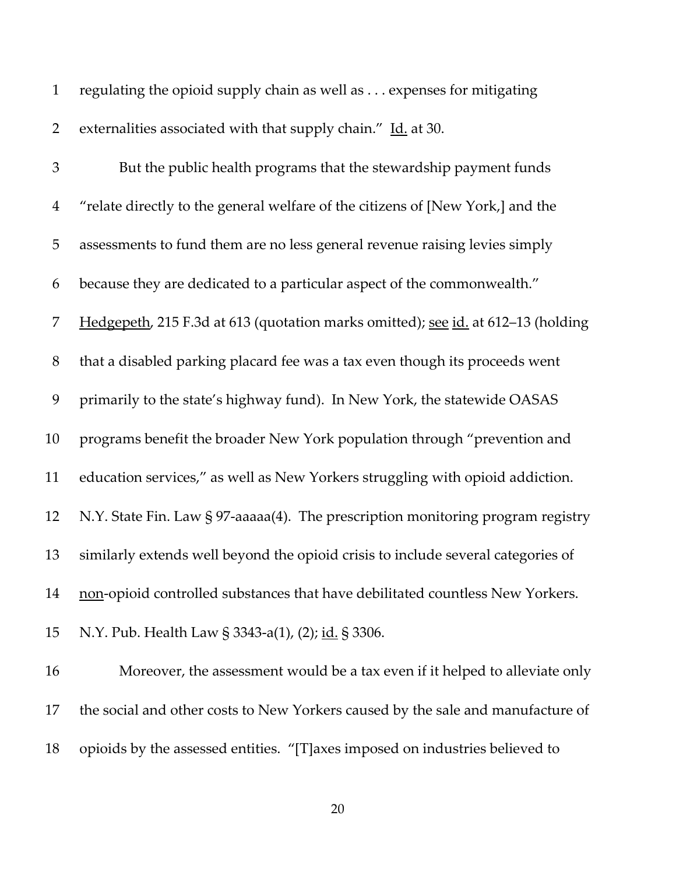| $\mathbf{1}$   | regulating the opioid supply chain as well as expenses for mitigating            |
|----------------|----------------------------------------------------------------------------------|
| $\overline{2}$ | externalities associated with that supply chain." Id. at 30.                     |
| $\mathfrak 3$  | But the public health programs that the stewardship payment funds                |
| $\overline{4}$ | "relate directly to the general welfare of the citizens of [New York,] and the   |
| 5              | assessments to fund them are no less general revenue raising levies simply       |
| 6              | because they are dedicated to a particular aspect of the commonwealth."          |
| 7              | Hedgepeth, 215 F.3d at 613 (quotation marks omitted); see id. at 612-13 (holding |
| $8\,$          | that a disabled parking placard fee was a tax even though its proceeds went      |
| 9              | primarily to the state's highway fund). In New York, the statewide OASAS         |
| 10             | programs benefit the broader New York population through "prevention and         |
| 11             | education services," as well as New Yorkers struggling with opioid addiction.    |
| 12             | N.Y. State Fin. Law § 97-aaaaa(4). The prescription monitoring program registry  |
| 13             | similarly extends well beyond the opioid crisis to include several categories of |
| 14             | non-opioid controlled substances that have debilitated countless New Yorkers.    |
| 15             | N.Y. Pub. Health Law § 3343-a(1), (2); id. § 3306.                               |
| 16             | Moreover, the assessment would be a tax even if it helped to alleviate only      |
| 17             | the social and other costs to New Yorkers caused by the sale and manufacture of  |
| 18             | opioids by the assessed entities. "[T] axes imposed on industries believed to    |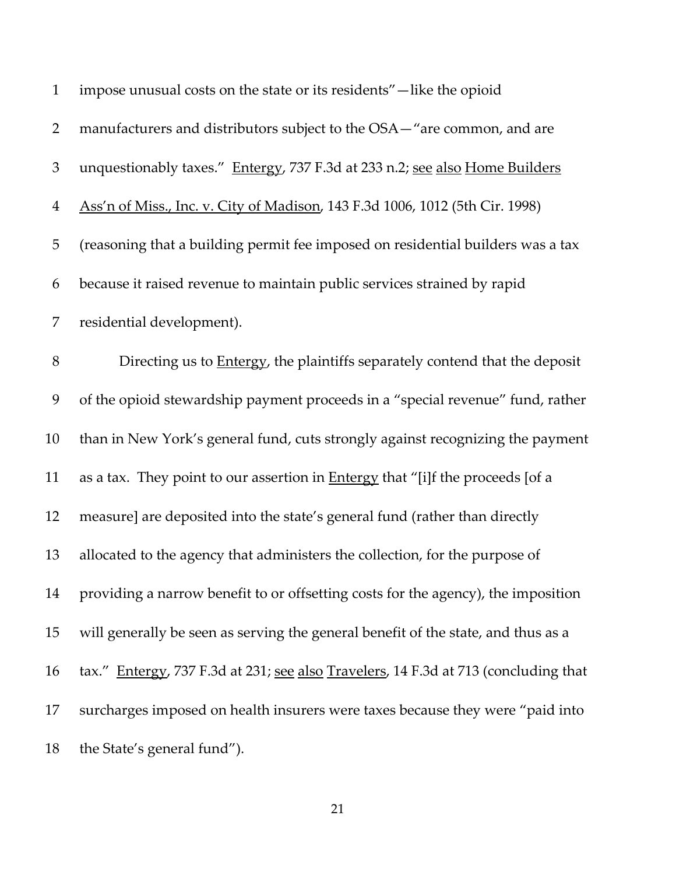| $\mathbf{1}$   | impose unusual costs on the state or its residents"-like the opioid                   |
|----------------|---------------------------------------------------------------------------------------|
| $\overline{2}$ | manufacturers and distributors subject to the OSA-"are common, and are                |
| $\mathfrak{Z}$ | unquestionably taxes." Entergy, 737 F.3d at 233 n.2; see also Home Builders           |
| $\overline{4}$ | Ass'n of Miss., Inc. v. City of Madison, 143 F.3d 1006, 1012 (5th Cir. 1998)          |
| 5              | (reasoning that a building permit fee imposed on residential builders was a tax       |
| 6              | because it raised revenue to maintain public services strained by rapid               |
| 7              | residential development).                                                             |
| $8\,$          | Directing us to <b>Entergy</b> , the plaintiffs separately contend that the deposit   |
| 9              | of the opioid stewardship payment proceeds in a "special revenue" fund, rather        |
| 10             | than in New York's general fund, cuts strongly against recognizing the payment        |
| 11             | as a tax. They point to our assertion in <b>Entergy</b> that "[i]f the proceeds [of a |
| 12             | measure] are deposited into the state's general fund (rather than directly            |
| 13             | allocated to the agency that administers the collection, for the purpose of           |
| 14             | providing a narrow benefit to or offsetting costs for the agency), the imposition     |
| 15             | will generally be seen as serving the general benefit of the state, and thus as a     |
| 16             | tax." Entergy, 737 F.3d at 231; see also Travelers, 14 F.3d at 713 (concluding that   |
| 17             | surcharges imposed on health insurers were taxes because they were "paid into         |
| 18             | the State's general fund").                                                           |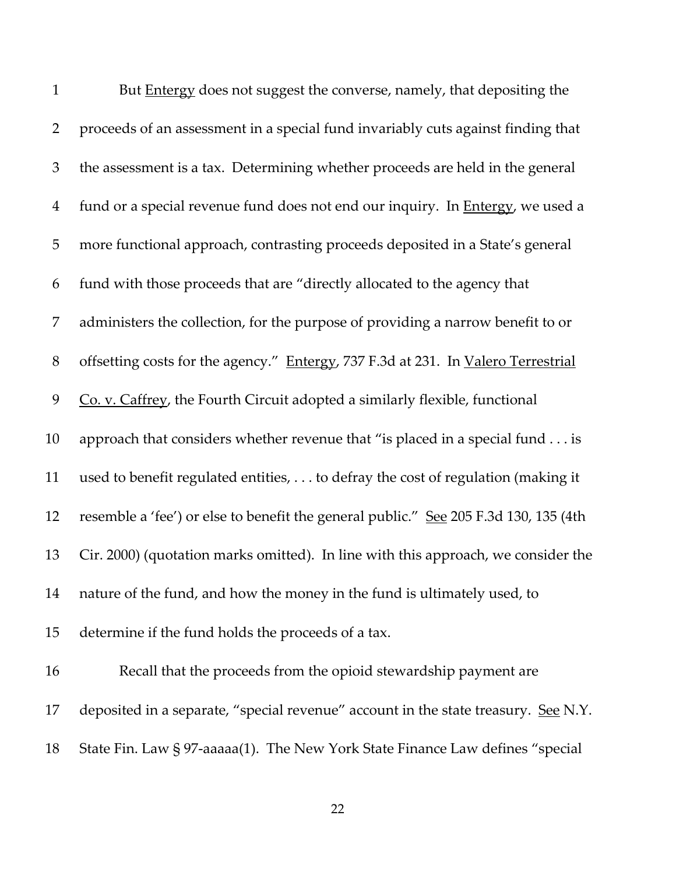| $\mathbf{1}$   | But <b>Entergy</b> does not suggest the converse, namely, that depositing the          |
|----------------|----------------------------------------------------------------------------------------|
| $\overline{2}$ | proceeds of an assessment in a special fund invariably cuts against finding that       |
| $\mathfrak{Z}$ | the assessment is a tax. Determining whether proceeds are held in the general          |
| $\overline{4}$ | fund or a special revenue fund does not end our inquiry. In <b>Entergy</b> , we used a |
| 5              | more functional approach, contrasting proceeds deposited in a State's general          |
| 6              | fund with those proceeds that are "directly allocated to the agency that               |
| 7              | administers the collection, for the purpose of providing a narrow benefit to or        |
| $8\,$          | offsetting costs for the agency." Entergy, 737 F.3d at 231. In Valero Terrestrial      |
| 9              | Co. v. Caffrey, the Fourth Circuit adopted a similarly flexible, functional            |
| 10             | approach that considers whether revenue that "is placed in a special fund is           |
| 11             | used to benefit regulated entities, to defray the cost of regulation (making it        |
| 12             | resemble a 'fee') or else to benefit the general public." See 205 F.3d 130, 135 (4th   |
| 13             | Cir. 2000) (quotation marks omitted). In line with this approach, we consider the      |
| 14             | nature of the fund, and how the money in the fund is ultimately used, to               |
| 15             | determine if the fund holds the proceeds of a tax.                                     |
| 16             | Recall that the proceeds from the opioid stewardship payment are                       |
| 17             | deposited in a separate, "special revenue" account in the state treasury. See N.Y.     |
| 18             | State Fin. Law § 97-aaaaa(1). The New York State Finance Law defines "special          |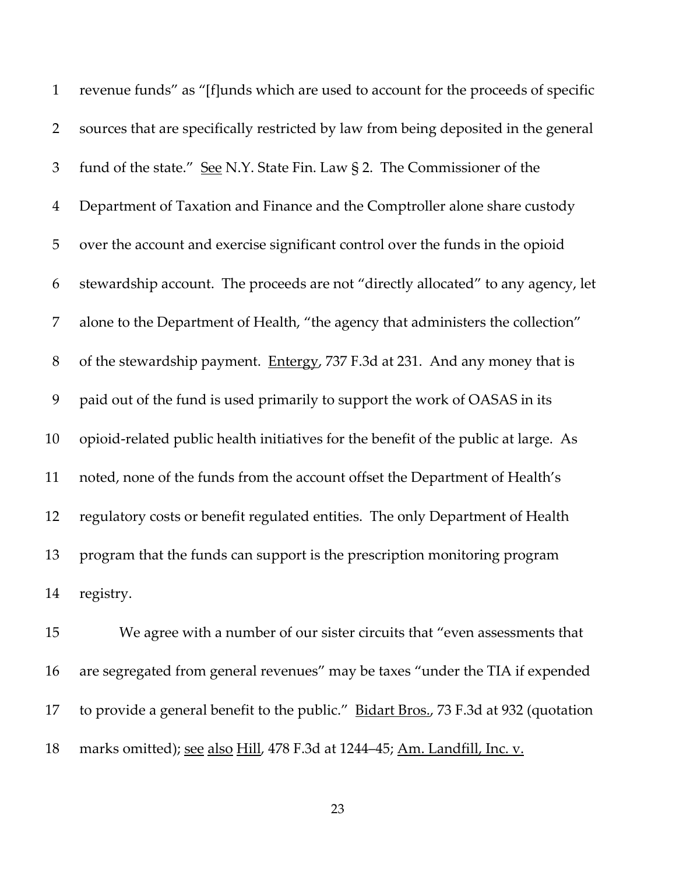revenue funds" as "[f]unds which are used to account for the proceeds of specific sources that are specifically restricted by law from being deposited in the general 3 fund of the state." See N.Y. State Fin. Law § 2. The Commissioner of the Department of Taxation and Finance and the Comptroller alone share custody over the account and exercise significant control over the funds in the opioid stewardship account. The proceeds are not "directly allocated" to any agency, let alone to the Department of Health, "the agency that administers the collection" 8 of the stewardship payment. Entergy, 737 F.3d at 231. And any money that is paid out of the fund is used primarily to support the work of OASAS in its opioid-related public health initiatives for the benefit of the public at large. As noted, none of the funds from the account offset the Department of Health's regulatory costs or benefit regulated entities. The only Department of Health program that the funds can support is the prescription monitoring program registry.

 We agree with a number of our sister circuits that "even assessments that are segregated from general revenues" may be taxes "under the TIA if expended 17 to provide a general benefit to the public." Bidart Bros., 73 F.3d at 932 (quotation marks omitted); see also Hill, 478 F.3d at 1244–45; Am. Landfill, Inc. v.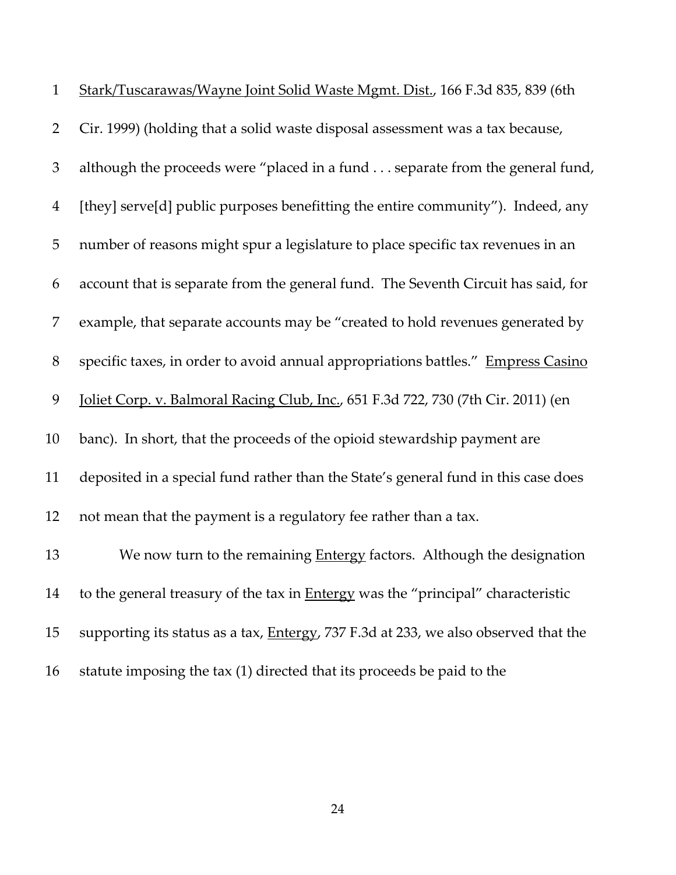| $\mathbf{1}$   | Stark/Tuscarawas/Wayne Joint Solid Waste Mgmt. Dist., 166 F.3d 835, 839 (6th                |
|----------------|---------------------------------------------------------------------------------------------|
| $\overline{2}$ | Cir. 1999) (holding that a solid waste disposal assessment was a tax because,               |
| 3              | although the proceeds were "placed in a fund separate from the general fund,                |
| $\overline{4}$ | [they] serve[d] public purposes benefitting the entire community"). Indeed, any             |
| 5              | number of reasons might spur a legislature to place specific tax revenues in an             |
| 6              | account that is separate from the general fund. The Seventh Circuit has said, for           |
| 7              | example, that separate accounts may be "created to hold revenues generated by               |
| 8              | specific taxes, in order to avoid annual appropriations battles." Empress Casino            |
| 9              | Joliet Corp. v. Balmoral Racing Club, Inc., 651 F.3d 722, 730 (7th Cir. 2011) (en           |
| 10             | banc). In short, that the proceeds of the opioid stewardship payment are                    |
| 11             | deposited in a special fund rather than the State's general fund in this case does          |
| 12             | not mean that the payment is a regulatory fee rather than a tax.                            |
| 13             | We now turn to the remaining Entergy factors. Although the designation                      |
| 14             | to the general treasury of the tax in Entergy was the "principal" characteristic            |
| 15             | supporting its status as a tax, <b>Entergy</b> , 737 F.3d at 233, we also observed that the |
| 16             | statute imposing the tax (1) directed that its proceeds be paid to the                      |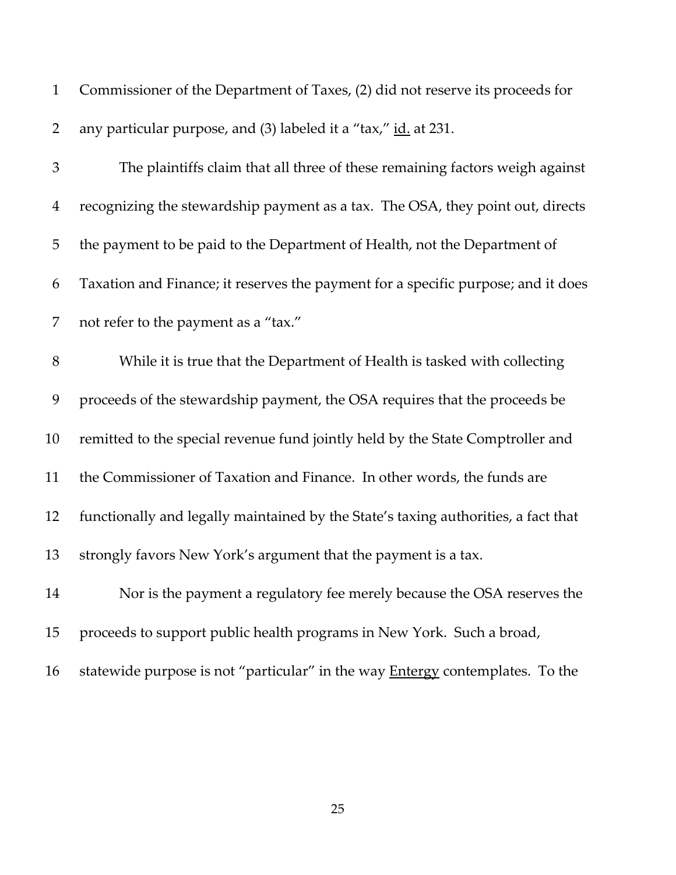| $\mathbf{1}$   | Commissioner of the Department of Taxes, (2) did not reserve its proceeds for        |
|----------------|--------------------------------------------------------------------------------------|
| $\overline{2}$ | any particular purpose, and (3) labeled it a "tax," id. at 231.                      |
| 3              | The plaintiffs claim that all three of these remaining factors weigh against         |
| 4              | recognizing the stewardship payment as a tax. The OSA, they point out, directs       |
| 5              | the payment to be paid to the Department of Health, not the Department of            |
| 6              | Taxation and Finance; it reserves the payment for a specific purpose; and it does    |
| 7              | not refer to the payment as a "tax."                                                 |
| $8\,$          | While it is true that the Department of Health is tasked with collecting             |
| 9              | proceeds of the stewardship payment, the OSA requires that the proceeds be           |
| 10             | remitted to the special revenue fund jointly held by the State Comptroller and       |
| 11             | the Commissioner of Taxation and Finance. In other words, the funds are              |
| 12             | functionally and legally maintained by the State's taxing authorities, a fact that   |
| 13             | strongly favors New York's argument that the payment is a tax.                       |
| 14             | Nor is the payment a regulatory fee merely because the OSA reserves the              |
| 15             | proceeds to support public health programs in New York. Such a broad,                |
| 16             | statewide purpose is not "particular" in the way <b>Entergy</b> contemplates. To the |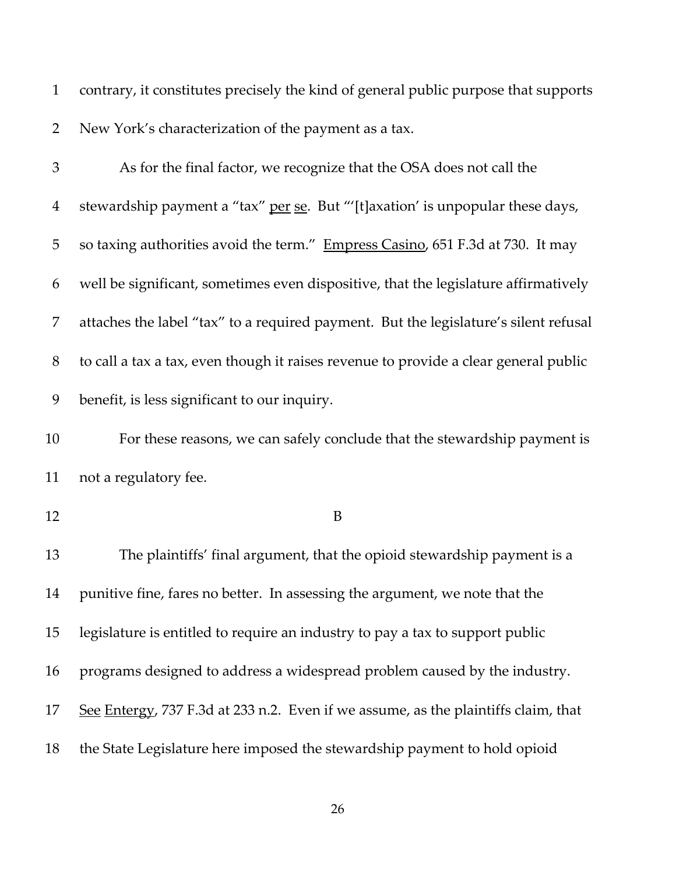| $\mathbf{1}$   | contrary, it constitutes precisely the kind of general public purpose that supports  |
|----------------|--------------------------------------------------------------------------------------|
| $\overline{2}$ | New York's characterization of the payment as a tax.                                 |
| 3              | As for the final factor, we recognize that the OSA does not call the                 |
| $\overline{4}$ | stewardship payment a "tax" per se. But "'[t]axation' is unpopular these days,       |
| 5              | so taxing authorities avoid the term." Empress Casino, 651 F.3d at 730. It may       |
| 6              | well be significant, sometimes even dispositive, that the legislature affirmatively  |
| 7              | attaches the label "tax" to a required payment. But the legislature's silent refusal |
| 8              | to call a tax a tax, even though it raises revenue to provide a clear general public |
| 9              | benefit, is less significant to our inquiry.                                         |
| 10             | For these reasons, we can safely conclude that the stewardship payment is            |
| 11             | not a regulatory fee.                                                                |
| 12             | B                                                                                    |
| 13             | The plaintiffs' final argument, that the opioid stewardship payment is a             |
| 14             | punitive fine, fares no better. In assessing the argument, we note that the          |
| 15             | legislature is entitled to require an industry to pay a tax to support public        |
| 16             | programs designed to address a widespread problem caused by the industry.            |
| 17             | See Entergy, 737 F.3d at 233 n.2. Even if we assume, as the plaintiffs claim, that   |
| 18             | the State Legislature here imposed the stewardship payment to hold opioid            |
|                |                                                                                      |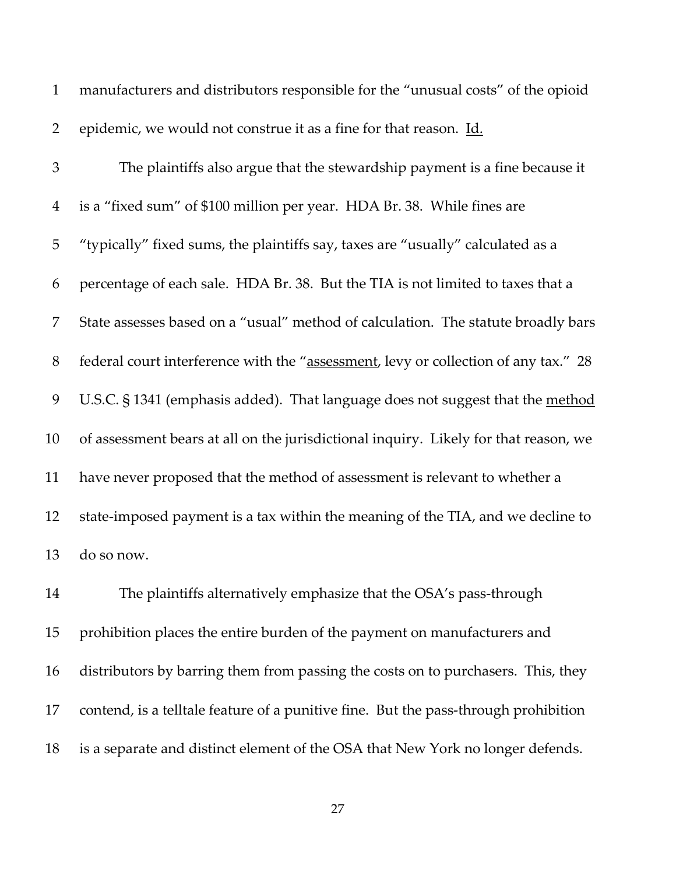| $\mathbf{1}$   | manufacturers and distributors responsible for the "unusual costs" of the opioid     |
|----------------|--------------------------------------------------------------------------------------|
| $\overline{2}$ | epidemic, we would not construe it as a fine for that reason. Id.                    |
| 3              | The plaintiffs also argue that the stewardship payment is a fine because it          |
| $\overline{4}$ | is a "fixed sum" of \$100 million per year. HDA Br. 38. While fines are              |
| 5              | "typically" fixed sums, the plaintiffs say, taxes are "usually" calculated as a      |
| 6              | percentage of each sale. HDA Br. 38. But the TIA is not limited to taxes that a      |
| 7              | State assesses based on a "usual" method of calculation. The statute broadly bars    |
| 8              | federal court interference with the "assessment, levy or collection of any tax." 28  |
| 9              | U.S.C. § 1341 (emphasis added). That language does not suggest that the method       |
| 10             | of assessment bears at all on the jurisdictional inquiry. Likely for that reason, we |
| 11             | have never proposed that the method of assessment is relevant to whether a           |
| 12             | state-imposed payment is a tax within the meaning of the TIA, and we decline to      |
| 13             | do so now.                                                                           |
| 14             | The plaintiffs alternatively emphasize that the OSA's pass-through                   |
| 15             | prohibition places the entire burden of the payment on manufacturers and             |
| 16             | distributors by barring them from passing the costs on to purchasers. This, they     |
| 17             | contend, is a telltale feature of a punitive fine. But the pass-through prohibition  |
| 18             | is a separate and distinct element of the OSA that New York no longer defends.       |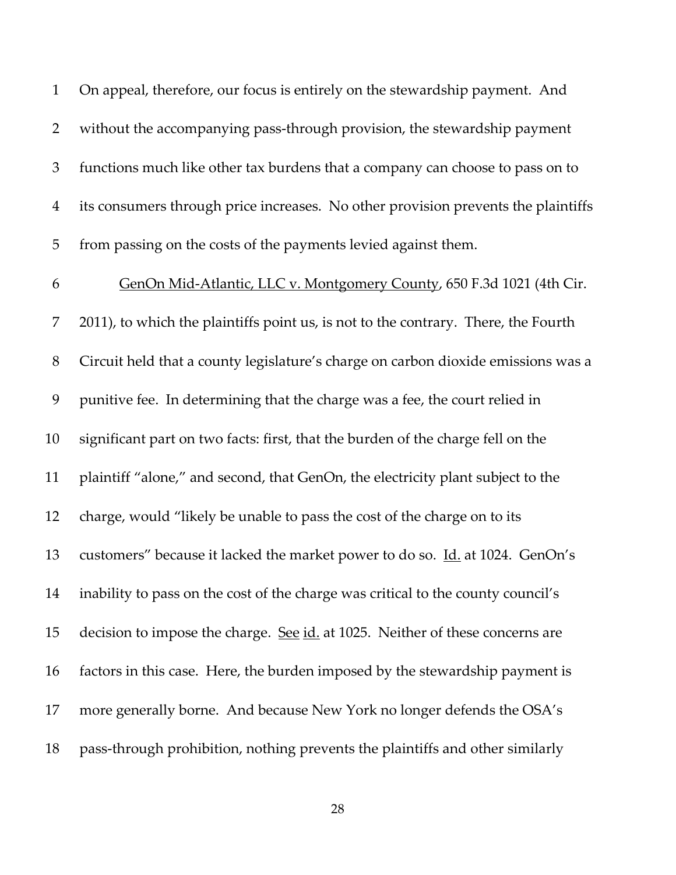On appeal, therefore, our focus is entirely on the stewardship payment. And without the accompanying pass-through provision, the stewardship payment functions much like other tax burdens that a company can choose to pass on to its consumers through price increases. No other provision prevents the plaintiffs from passing on the costs of the payments levied against them. GenOn Mid-Atlantic, LLC v. Montgomery County, 650 F.3d 1021 (4th Cir. 2011), to which the plaintiffs point us, is not to the contrary. There, the Fourth Circuit held that a county legislature's charge on carbon dioxide emissions was a punitive fee. In determining that the charge was a fee, the court relied in significant part on two facts: first, that the burden of the charge fell on the plaintiff "alone," and second, that GenOn, the electricity plant subject to the charge, would "likely be unable to pass the cost of the charge on to its customers" because it lacked the market power to do so. Id. at 1024. GenOn's inability to pass on the cost of the charge was critical to the county council's 15 decision to impose the charge. See id. at 1025. Neither of these concerns are factors in this case. Here, the burden imposed by the stewardship payment is more generally borne. And because New York no longer defends the OSA's pass-through prohibition, nothing prevents the plaintiffs and other similarly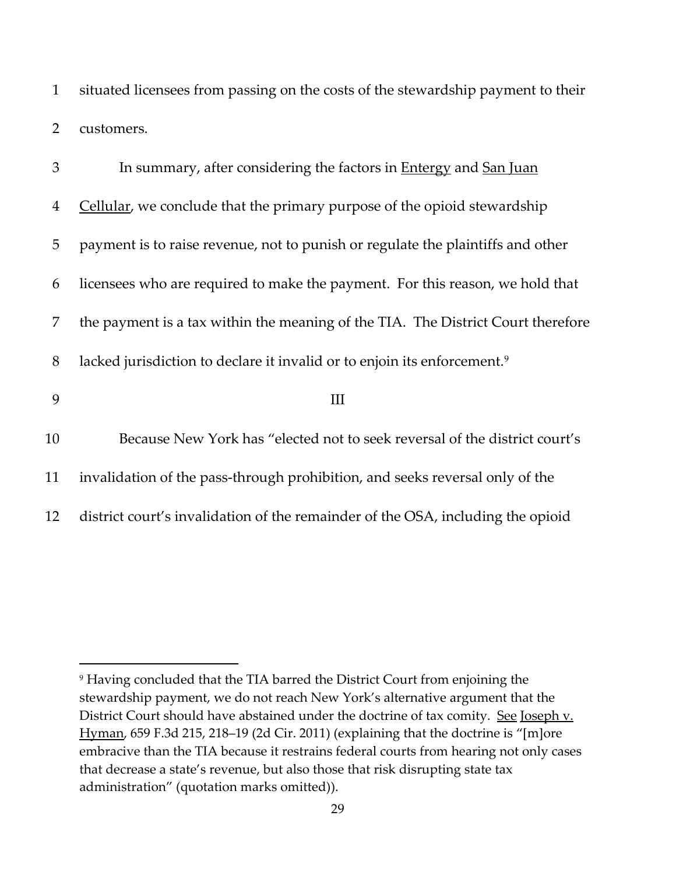1 situated licensees from passing on the costs of the stewardship payment to their 2 customers.

| 3              | In summary, after considering the factors in <b>Entergy</b> and San Juan             |
|----------------|--------------------------------------------------------------------------------------|
| $\overline{4}$ | Cellular, we conclude that the primary purpose of the opioid stewardship             |
| 5              | payment is to raise revenue, not to punish or regulate the plaintiffs and other      |
| 6              | licensees who are required to make the payment. For this reason, we hold that        |
| 7              | the payment is a tax within the meaning of the TIA. The District Court therefore     |
| 8              | lacked jurisdiction to declare it invalid or to enjoin its enforcement. <sup>9</sup> |
| 9              | Ш                                                                                    |
| 10             | Because New York has "elected not to seek reversal of the district court's           |
| 11             | invalidation of the pass-through prohibition, and seeks reversal only of the         |
| 12             | district court's invalidation of the remainder of the OSA, including the opioid      |

<span id="page-28-0"></span><sup>9</sup> Having concluded that the TIA barred the District Court from enjoining the stewardship payment, we do not reach New York's alternative argument that the District Court should have abstained under the doctrine of tax comity. See Joseph v. Hyman, 659 F.3d 215, 218–19 (2d Cir. 2011) (explaining that the doctrine is "[m]ore embracive than the TIA because it restrains federal courts from hearing not only cases that decrease a state's revenue, but also those that risk disrupting state tax administration" (quotation marks omitted)).